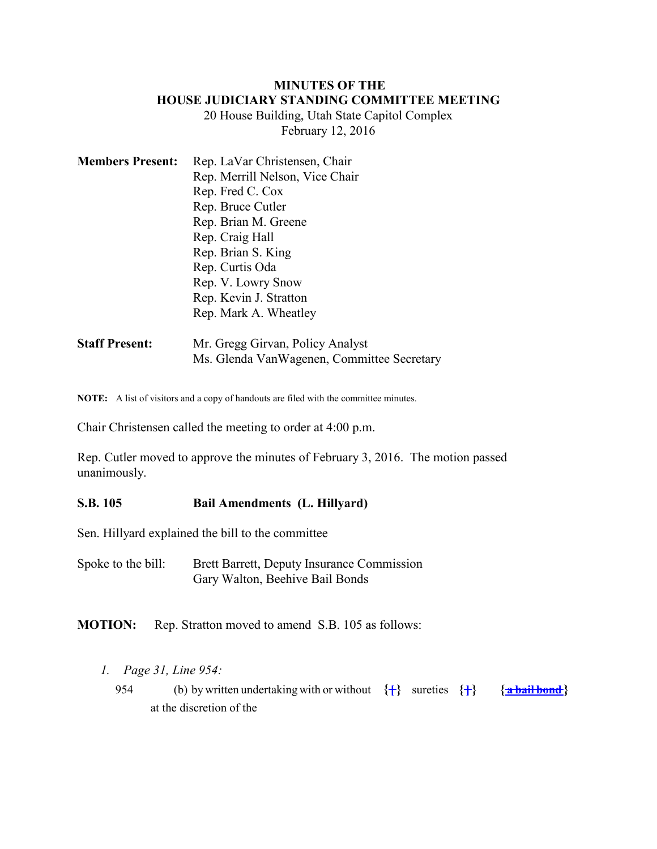#### **MINUTES OF THE HOUSE JUDICIARY STANDING COMMITTEE MEETING**

20 House Building, Utah State Capitol Complex February 12, 2016

| <b>Members Present:</b> | Rep. LaVar Christensen, Chair   |
|-------------------------|---------------------------------|
|                         | Rep. Merrill Nelson, Vice Chair |
|                         | Rep. Fred C. Cox                |
|                         | Rep. Bruce Cutler               |
|                         | Rep. Brian M. Greene            |
|                         | Rep. Craig Hall                 |
|                         | Rep. Brian S. King              |
|                         | Rep. Curtis Oda                 |
|                         | Rep. V. Lowry Snow              |
|                         | Rep. Kevin J. Stratton          |
|                         | Rep. Mark A. Wheatley           |
|                         |                                 |

**Staff Present:** Mr. Gregg Girvan, Policy Analyst Ms. Glenda VanWagenen, Committee Secretary

**NOTE:** A list of visitors and a copy of handouts are filed with the committee minutes.

Chair Christensen called the meeting to order at 4:00 p.m.

Rep. Cutler moved to approve the minutes of February 3, 2016. The motion passed unanimously.

### **S.B. 105 Bail Amendments (L. Hillyard)**

Sen. Hillyard explained the bill to the committee

Spoke to the bill: Brett Barrett, Deputy Insurance Commission Gary Walton, Beehive Bail Bonds

**MOTION:** Rep. Stratton moved to amend S.B. 105 as follows:

- *1. Page 31, Line 954:*
	- 954 (b) by written undertaking with or without  $\{\frac{1}{2}\}$  sureties  $\{\frac{1}{2}\}$   $\{\frac{1}{2}\}$   $\{\frac{1}{2}\}$ at the discretion of the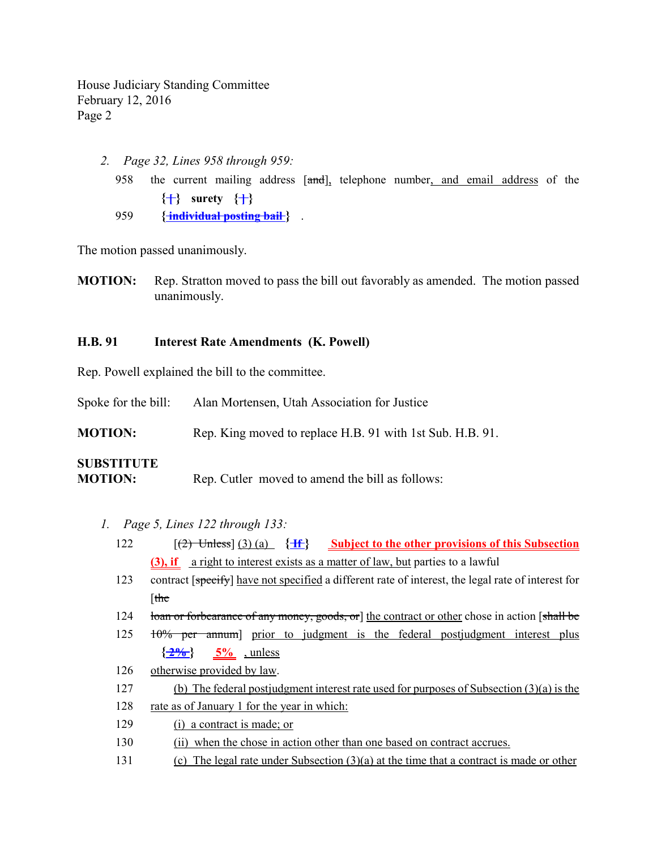> *2. Page 32, Lines 958 through 959:* 958 the current mailing address  $[\text{and}]$ , telephone number, and email address of the  $\{\uparrow\}$  surety  $\{\uparrow\}$ 959 **{ individual posting bail** } .

The motion passed unanimously.

**MOTION:** Rep. Stratton moved to pass the bill out favorably as amended. The motion passed unanimously.

#### **H.B. 91 Interest Rate Amendments (K. Powell)**

Rep. Powell explained the bill to the committee.

Spoke for the bill: Alan Mortensen, Utah Association for Justice

**MOTION:** Rep. King moved to replace H.B. 91 with 1st Sub. H.B. 91.

# **SUBSTITUTE**

**MOTION:** Rep. Cutler moved to amend the bill as follows:

- *1. Page 5, Lines 122 through 133:*
	- 122 [(2) Unless] (3) (a) **{ If } Subject to the other provisions of this Subsection (3), if** a right to interest exists as a matter of law, but parties to a lawful
	- 123 contract [specify] have not specified a different rate of interest, the legal rate of interest for [the
	- 124 loan or forbearance of any money, goods, or 1 the contract or other chose in action [shall be
	- 125 <del>10% per annum</del> prior to judgment is the federal postjudgment interest plus  $\{\frac{2\%}{2\%}\}$  5% , unless
	- 126 otherwise provided by law.
	- 127 (b) The federal postjudgment interest rate used for purposes of Subsection (3)(a) is the
	- 128 rate as of January 1 for the year in which:
	- 129 (i) a contract is made; or
	- 130 (ii) when the chose in action other than one based on contract accrues.
	- 131 (c) The legal rate under Subsection (3)(a) at the time that a contract is made or other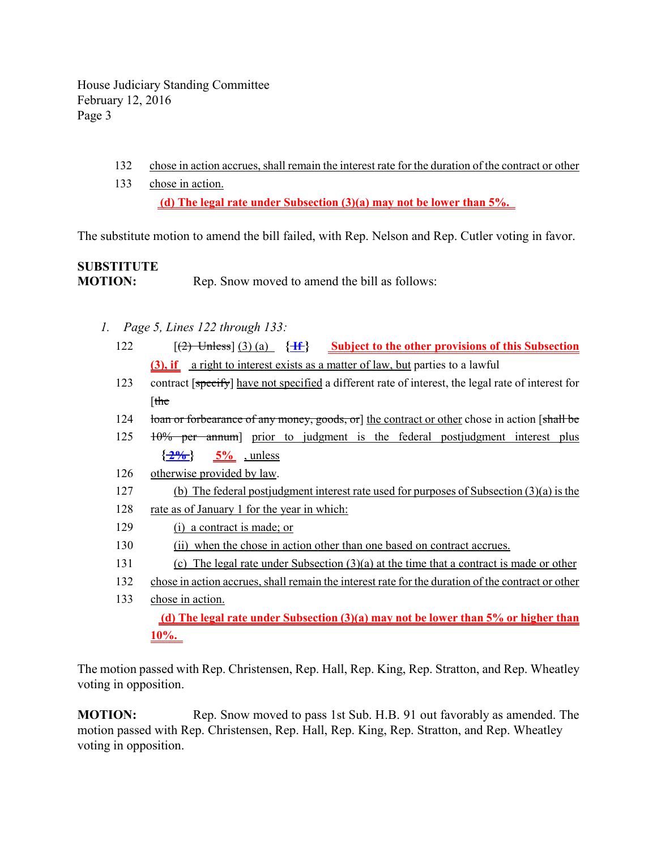- 132 chose in action accrues, shall remain the interest rate for the duration of the contract or other
- 133 chose in action.  **(d) The legal rate under Subsection (3)(a) may not be lower than 5%.**

The substitute motion to amend the bill failed, with Rep. Nelson and Rep. Cutler voting in favor.

# **SUBSTITUTE MOTION:** Rep. Snow moved to amend the bill as follows:

- *1. Page 5, Lines 122 through 133:*
	- 122 [(2) Unless] (3) (a) **{ If } Subject to the other provisions of this Subsection (3), if** a right to interest exists as a matter of law, but parties to a lawful
	- 123 contract [specify] have not specified a different rate of interest, the legal rate of interest for [the
	- 124 loan or forbearance of any money, goods, or 1 the contract or other chose in action [shall be
	- 125 10% per annum] prior to judgment is the federal postjudgment interest plus  $\{\frac{2\%}{2\%}\}$  5% , unless
	- 126 otherwise provided by law.
	- 127 (b) The federal postjudgment interest rate used for purposes of Subsection (3)(a) is the
	- 128 rate as of January 1 for the year in which:
	- 129 (i) a contract is made; or
	- 130 (ii) when the chose in action other than one based on contract accrues.
	- 131 (c) The legal rate under Subsection (3)(a) at the time that a contract is made or other
	- 132 chose in action accrues, shall remain the interest rate for the duration of the contract or other
	- 133 chose in action.  **(d) The legal rate under Subsection (3)(a) may not be lower than 5% or higher than 10%.**

The motion passed with Rep. Christensen, Rep. Hall, Rep. King, Rep. Stratton, and Rep. Wheatley voting in opposition.

**MOTION:** Rep. Snow moved to pass 1st Sub. H.B. 91 out favorably as amended. The motion passed with Rep. Christensen, Rep. Hall, Rep. King, Rep. Stratton, and Rep. Wheatley voting in opposition.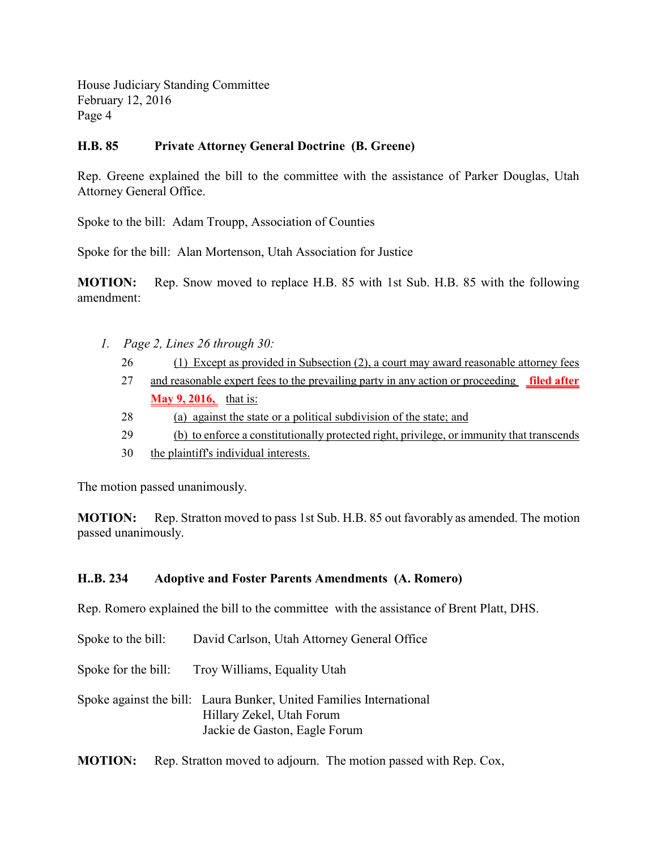## **H.B. 85 Private Attorney General Doctrine (B. Greene)**

Rep. Greene explained the bill to the committee with the assistance of Parker Douglas, Utah Attorney General Office.

Spoke to the bill: Adam Troupp, Association of Counties

Spoke for the bill: Alan Mortenson, Utah Association for Justice

**MOTION:** Rep. Snow moved to replace H.B. 85 with 1st Sub. H.B. 85 with the following amendment:

- *1. Page 2, Lines 26 through 30:*
	- 26 (1) Except as provided in Subsection (2), a court may award reasonable attorney fees
	- 27 and reasonable expert fees to the prevailing party in any action or proceeding **filed after May 9, 2016,** that is:
	- 28 (a) against the state or a political subdivision of the state; and
	- 29 (b) to enforce a constitutionally protected right, privilege, or immunity that transcends
	- 30 the plaintiff's individual interests.

The motion passed unanimously.

**MOTION:** Rep. Stratton moved to pass 1st Sub. H.B. 85 out favorably as amended. The motion passed unanimously.

### **H..B. 234 Adoptive and Foster Parents Amendments (A. Romero)**

Rep. Romero explained the bill to the committee with the assistance of Brent Platt, DHS.

Spoke to the bill: David Carlson, Utah Attorney General Office

Spoke for the bill: Troy Williams, Equality Utah

Spoke against the bill: Laura Bunker, United Families International Hillary Zekel, Utah Forum Jackie de Gaston, Eagle Forum

**MOTION:** Rep. Stratton moved to adjourn. The motion passed with Rep. Cox,